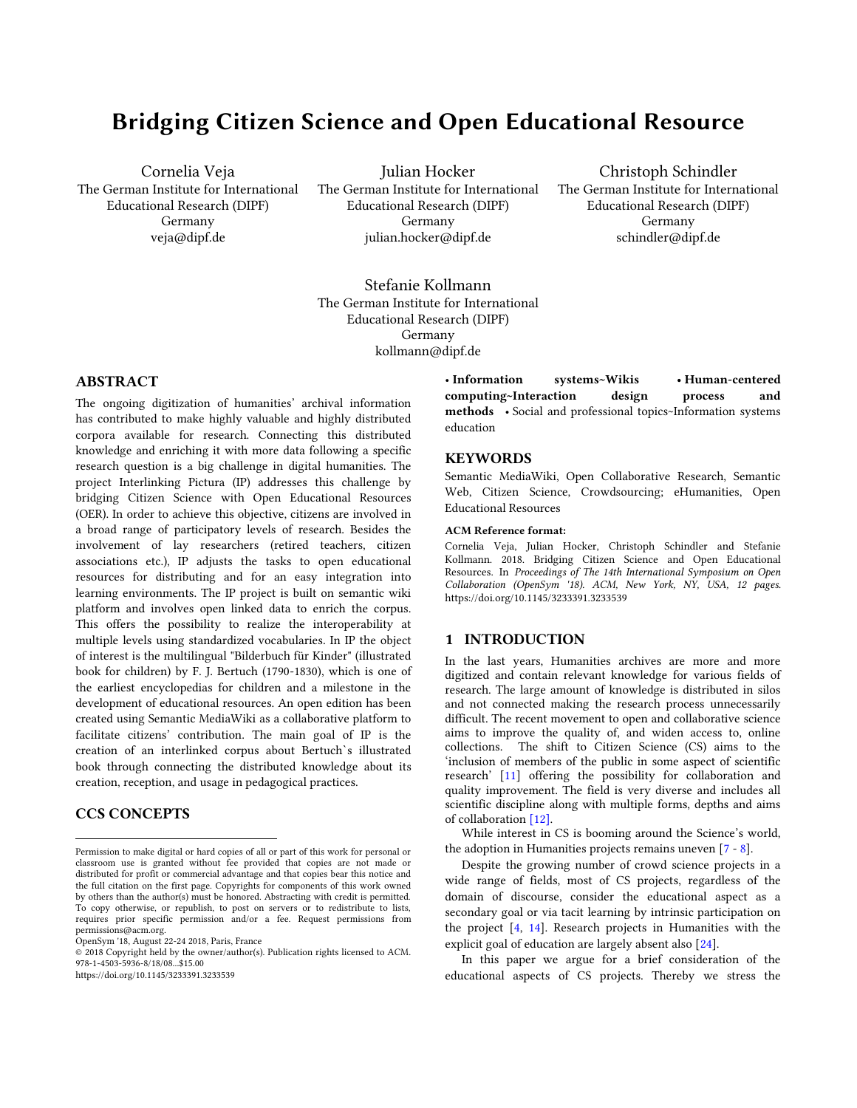# **Bridging Citizen Science and Open Educational Resource**

Cornelia Veja The German Institute for International Educational Research (DIPF) Germany veja@dipf.de

Julian Hocker The German Institute for International Educational Research (DIPF) Germany julian.hocker@dipf.de

Christoph Schindler The German Institute for International Educational Research (DIPF) Germany schindler@dipf.de

Stefanie Kollmann The German Institute for International Educational Research (DIPF) Germany kollmann@dipf.de

# **ABSTRACT**

The ongoing digitization of humanities' archival information has contributed to make highly valuable and highly distributed corpora available for research. Connecting this distributed knowledge and enriching it with more data following a specific research question is a big challenge in digital humanities. The project Interlinking Pictura (IP) addresses this challenge by bridging Citizen Science with Open Educational Resources (OER). In order to achieve this objective, citizens are involved in a broad range of participatory levels of research. Besides the involvement of lay researchers (retired teachers, citizen associations etc.), IP adjusts the tasks to open educational resources for distributing and for an easy integration into learning environments. The IP project is built on semantic wiki platform and involves open linked data to enrich the corpus. This offers the possibility to realize the interoperability at multiple levels using standardized vocabularies. In IP the object of interest is the multilingual "Bilderbuch für Kinder" (illustrated book for children) by F. J. Bertuch (1790-1830), which is one of the earliest encyclopedias for children and a milestone in the development of educational resources. An open edition has been created using Semantic MediaWiki as a collaborative platform to facilitate citizens' contribution. The main goal of IP is the creation of an interlinked corpus about Bertuch`s illustrated book through connecting the distributed knowledge about its creation, reception, and usage in pedagogical practices.

## **CCS CONCEPTS**

 $\overline{a}$ 

https://doi.org/10.1145/3233391.3233539

• **Information systems~Wikis • Human-centered computing~Interaction design process and methods** • Social and professional topics~Information systems education

#### **KEYWORDS**

Semantic MediaWiki, Open Collaborative Research, Semantic Web, Citizen Science, Crowdsourcing; eHumanities, Open Educational Resources

#### **ACM Reference format:**

Cornelia Veja, Julian Hocker, Christoph Schindler and Stefanie Kollmann. 2018. Bridging Citizen Science and Open Educational Resources. In *Proceedings of The 14th International Symposium on Open Collaboration (OpenSym '18). ACM, New York, NY, USA, 12 pages.* https://doi.org/10.1145/3233391.3233539

# **1 INTRODUCTION**

In the last years, Humanities archives are more and more digitized and contain relevant knowledge for various fields of research. The large amount of knowledge is distributed in silos and not connected making the research process unnecessarily difficult. The recent movement to open and collaborative science aims to improve the quality of, and widen access to, online collections. The shift to Citizen Science (CS) aims to the 'inclusion of members of the public in some aspect of scientific research' [[11\]](#page-10-0) offering the possibility for collaboration and quality improvement. The field is very diverse and includes all scientific discipline along with multiple forms, depths and aims of collaboration [\[12\]](#page-10-1).

While interest in CS is booming around the Science's world, the adoption in Humanities projects remains uneven [\[7](#page-10-2) - [8\]](#page-10-3).

Despite the growing number of crowd science projects in a wide range of fields, most of CS projects, regardless of the domain of discourse, consider the educational aspect as a secondary goal or via tacit learning by intrinsic participation on the project [\[4,](#page-10-4) [14\]](#page-10-5). Research projects in Humanities with the explicit goal of education are largely absent also [\[24\]](#page-11-0).

In this paper we argue for a brief consideration of the educational aspects of CS projects. Thereby we stress the

Permission to make digital or hard copies of all or part of this work for personal or classroom use is granted without fee provided that copies are not made or distributed for profit or commercial advantage and that copies bear this notice and the full citation on the first page. Copyrights for components of this work owned by others than the author(s) must be honored. Abstracting with credit is permitted. To copy otherwise, or republish, to post on servers or to redistribute to lists, requires prior specific permission and/or a fee. Request permissions from permissions@acm.org.

OpenSym '18, August 22-24 2018, Paris, France

<sup>© 2018</sup> Copyright held by the owner/author(s). Publication rights licensed to ACM. 978-1-4503-5936-8/18/08...\$15.00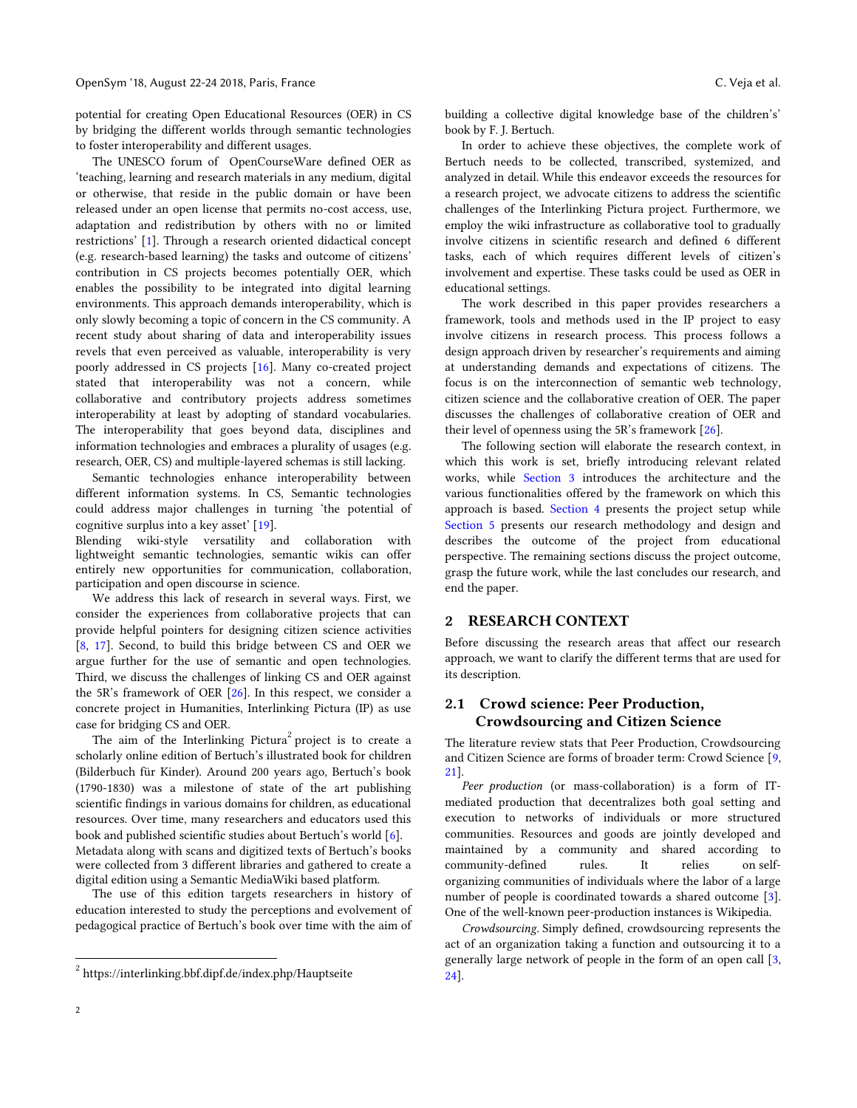potential for creating Open Educational Resources (OER) in CS by bridging the different worlds through semantic technologies to foster interoperability and different usages.

The UNESCO forum of OpenCourseWare defined OER as 'teaching, learning and research materials in any medium, digital or otherwise, that reside in the public domain or have been released under an open license that permits no-cost access, use, adaptation and redistribution by others with no or limited restrictions' [[1\]](#page-11-1). Through a research oriented didactical concept (e.g. research-based learning) the tasks and outcome of citizens' contribution in CS projects becomes potentially OER, which enables the possibility to be integrated into digital learning environments. This approach demands interoperability, which is only slowly becoming a topic of concern in the CS community. A recent study about sharing of data and interoperability issues revels that even perceived as valuable, interoperability is very poorly addressed in CS projects [\[16\]](#page-10-6). Many co-created project stated that interoperability was not a concern, while collaborative and contributory projects address sometimes interoperability at least by adopting of standard vocabularies. The interoperability that goes beyond data, disciplines and information technologies and embraces a plurality of usages (e.g. research, OER, CS) and multiple-layered schemas is still lacking.

Semantic technologies enhance interoperability between different information systems. In CS, Semantic technologies could address major challenges in turning 'the potential of cognitive surplus into a key asset' [[19\]](#page-11-2).

Blending wiki-style versatility and collaboration with lightweight semantic technologies, semantic wikis can offer entirely new opportunities for communication, collaboration, participation and open discourse in science.

We address this lack of research in several ways. First, we consider the experiences from collaborative projects that can provide helpful pointers for designing citizen science activities [\[8,](#page-10-3) [17\]](#page-11-3). Second, to build this bridge between CS and OER we argue further for the use of semantic and open technologies. Third, we discuss the challenges of linking CS and OER against the 5R's framework of OER [\[26\]](#page-11-4). In this respect, we consider a concrete project in Humanities, Interlinking Pictura (IP) as use case for bridging CS and OER.

The aim of the Interlinking Pictura<sup>2</sup> project is to create a scholarly online edition of Bertuch's illustrated book for children (Bilderbuch für Kinder). Around 200 years ago, Bertuch's book (1790-1830) was a milestone of state of the art publishing scientific findings in various domains for children, as educational resources. Over time, many researchers and educators used this book and published scientific studies about Bertuch's world [[6\]](#page-10-7). Metadata along with scans and digitized texts of Bertuch's books were collected from 3 different libraries and gathered to create a digital edition using a Semantic MediaWiki based platform.

The use of this edition targets researchers in history of education interested to study the perceptions and evolvement of pedagogical practice of Bertuch's book over time with the aim of

building a collective digital knowledge base of the children's' book by F. J. Bertuch.

In order to achieve these objectives, the complete work of Bertuch needs to be collected, transcribed, systemized, and analyzed in detail. While this endeavor exceeds the resources for a research project, we advocate citizens to address the scientific challenges of the Interlinking Pictura project. Furthermore, we employ the wiki infrastructure as collaborative tool to gradually involve citizens in scientific research and defined 6 different tasks, each of which requires different levels of citizen's involvement and expertise. These tasks could be used as OER in educational settings.

The work described in this paper provides researchers a framework, tools and methods used in the IP project to easy involve citizens in research process. This process follows a design approach driven by researcher's requirements and aiming at understanding demands and expectations of citizens. The focus is on the interconnection of semantic web technology, citizen science and the collaborative creation of OER. The paper discusses the challenges of collaborative creation of OER and their level of openness using the 5R's framework [[26\]](#page-11-4).

The following section will elaborate the research context, in which this work is set, briefly introducing relevant related works, while [Section 3](#page-3-0) introduces the architecture and the various functionalities offered by the framework on which this approach is based. [Section 4](#page-4-0) presents the project setup while [Section 5](#page-5-0) presents our research methodology and design and describes the outcome of the project from educational perspective. The remaining sections discuss the project outcome, grasp the future work, while the last concludes our research, and end the paper.

## <span id="page-1-0"></span>**2 RESEARCH CONTEXT**

Before discussing the research areas that affect our research approach, we want to clarify the different terms that are used for its description.

## **2.1 Crowd science: Peer Production, Crowdsourcing and Citizen Science**

The literature review stats that Peer Production, Crowdsourcing and Citizen Science are forms of broader term: Crowd Science [\[9,](#page-10-8) [21\]](#page-11-5).

*Peer production* (or mass-collaboration) is a form of ITmediated production that decentralizes both goal setting and execution to networks of individuals or more structured communities. Resources and goods are jointly developed and maintained by a community and shared according to community-defined rules. It relies on [self](https://en.wikipedia.org/wiki/Self-organizing)[organizing](https://en.wikipedia.org/wiki/Self-organizing) communities of individuals where the labor of a large number of people is coordinated towards a shared outcome [\[3\]](#page-10-9). One of the well-known peer-production instances is Wikipedia.

*Crowdsourcing.* Simply defined, crowdsourcing represents the act of an organization taking a function and outsourcing it to a generally large network of people in the form of an open call [\[3,](#page-10-9) [24\]](#page-11-0).

j

 $^2$  https://interlinking.bbf.dipf.de/index.php/Hauptseite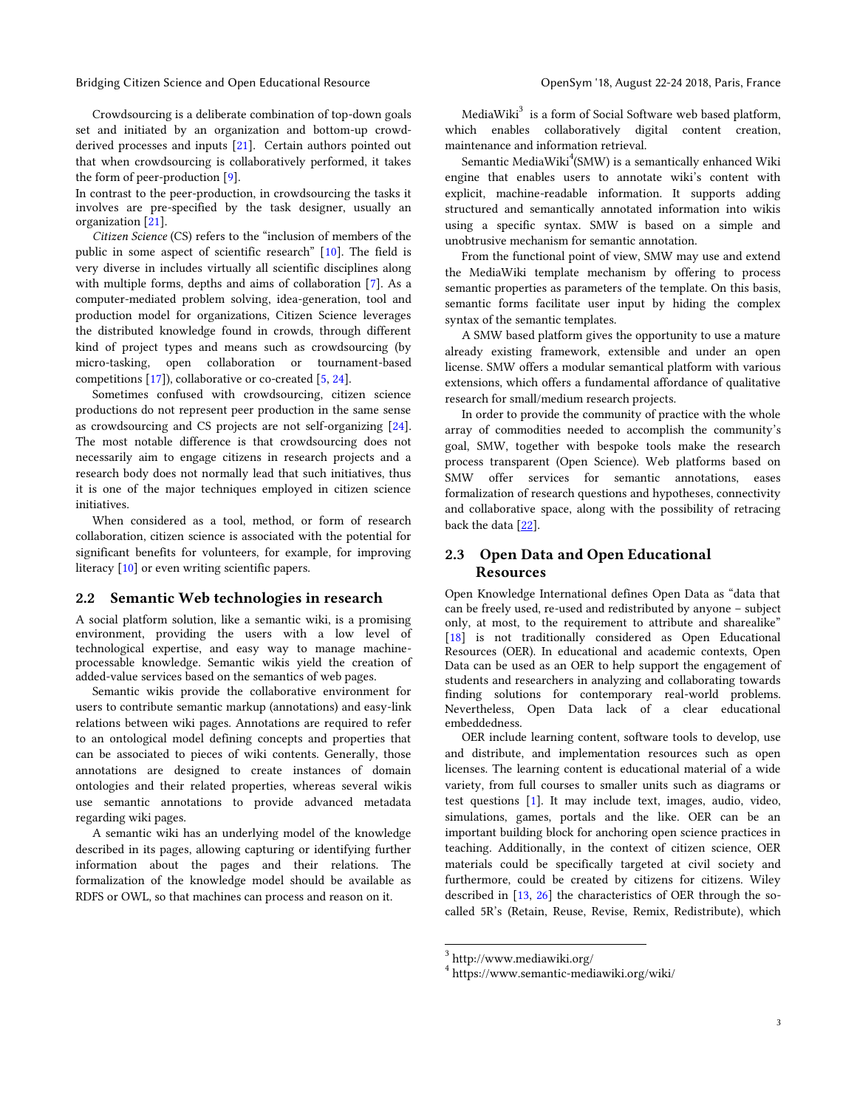Bridging Citizen Science and Open Educational Resource **Open Sym '18, August 22-24 2018, Paris, France** 

Crowdsourcing is a deliberate combination of top-down goals set and initiated by an organization and bottom-up crowdderived processes and inputs [\[21\]](#page-11-5). Certain authors pointed out that when crowdsourcing is collaboratively performed, it takes the form of peer-production [\[9\]](#page-10-8).

In contrast to the peer-production, in crowdsourcing the tasks it involves are pre-specified by the task designer, usually an organization [\[21\]](#page-11-5).

*Citizen Science* (CS) refers to the "inclusion of members of the public in some aspect of scientific research" [[10\]](#page-10-10). The field is very diverse in includes virtually all scientific disciplines along with multiple forms, depths and aims of collaboration [\[7\]](#page-10-2). As a computer-mediated problem solving, idea-generation, tool and production model for organizations, Citizen Science leverages the distributed knowledge found in crowds, through different kind of project types and means such as crowdsourcing (by micro-tasking, open collaboration or tournament-based competitions [\[17\]](#page-11-3)), collaborative or co-created [\[5,](#page-10-11) [24\]](#page-11-0).

Sometimes confused with crowdsourcing, citizen science productions do not represent peer production in the same sense as crowdsourcing and CS projects are not self-organizing [\[24\]](#page-11-0). The most notable difference is that crowdsourcing does not necessarily aim to engage citizens in research projects and a research body does not normally lead that such initiatives, thus it is one of the major techniques employed in citizen science initiatives.

When considered as a tool, method, or form of research collaboration, citizen science is associated with the potential for significant benefits for volunteers, for example, for improving literacy [\[10\]](#page-10-10) or even writing scientific papers.

## **2.2 Semantic Web technologies in research**

A social platform solution, like a semantic wiki, is a promising environment, providing the users with a low level of technological expertise, and easy way to manage machineprocessable knowledge. Semantic wikis yield the creation of added-value services based on the semantics of web pages.

Semantic wikis provide the collaborative environment for users to contribute semantic markup (annotations) and easy-link relations between wiki pages. Annotations are required to refer to an ontological model defining concepts and properties that can be associated to pieces of wiki contents. Generally, those annotations are designed to create instances of domain ontologies and their related properties, whereas several wikis use semantic annotations to provide advanced metadata regarding wiki pages.

A semantic wiki has an underlying model of the knowledge described in its pages, allowing capturing or identifying further information about the pages and their relations. The formalization of the knowledge model should be available as RDFS or OWL, so that machines can process and reason on it.

MediaWiki $^3$  is a form of Social Software web based platform, which enables collaboratively digital content creation, maintenance and information retrieval.

Semantic MediaWiki $\rm{^4(SMW)}$  is a semantically enhanced Wiki engine that enables users to annotate wiki's content with explicit, machine-readable information. It supports adding structured and semantically annotated information into wikis using a specific syntax. SMW is based on a simple and unobtrusive mechanism for semantic annotation.

From the functional point of view, SMW may use and extend the MediaWiki template mechanism by offering to process semantic properties as parameters of the template. On this basis, semantic forms facilitate user input by hiding the complex syntax of the semantic templates.

A SMW based platform gives the opportunity to use a mature already existing framework, extensible and under an open license. SMW offers a modular semantical platform with various extensions, which offers a fundamental affordance of qualitative research for small/medium research projects.

In order to provide the community of practice with the whole array of commodities needed to accomplish the community's goal, SMW, together with bespoke tools make the research process transparent (Open Science). Web platforms based on SMW offer services for semantic annotations, eases formalization of research questions and hypotheses, connectivity and collaborative space, along with the possibility of retracing back the data [\[22\]](#page-11-6).

# **2.3 Open Data and Open Educational Resources**

Open Knowledge International defines Open Data as "data that can be freely used, re-used and redistributed by anyone – subject only, at most, to the requirement to attribute and sharealike" [\[18\]](#page-11-7) is not traditionally considered as Open Educational Resources (OER). In educational and academic contexts, Open Data can be used as an OER to help support the engagement of students and researchers in analyzing and collaborating towards finding solutions for contemporary real-world problems. Nevertheless, Open Data lack of a clear educational embeddedness.

OER include learning content, software tools to develop, use and distribute, and implementation resources such as open licenses. The learning content is educational material of a wide variety, from full courses to smaller units such as diagrams or test questions [\[1\]](#page-11-1). It may include text, images, audio, video, simulations, games, portals and the like. OER can be an important building block for anchoring open science practices in teaching. Additionally, in the context of citizen science, OER materials could be specifically targeted at civil society and furthermore, could be created by citizens for citizens. Wiley described in [\[13,](#page-10-12) [26\]](#page-11-4) the characteristics of OER through the socalled 5R's (Retain, Reuse, Revise, Remix, Redistribute), which

 $\overline{a}$ 

<sup>3</sup> http://www.mediawiki.org/

<sup>4</sup> https://www.semantic-mediawiki.org/wiki/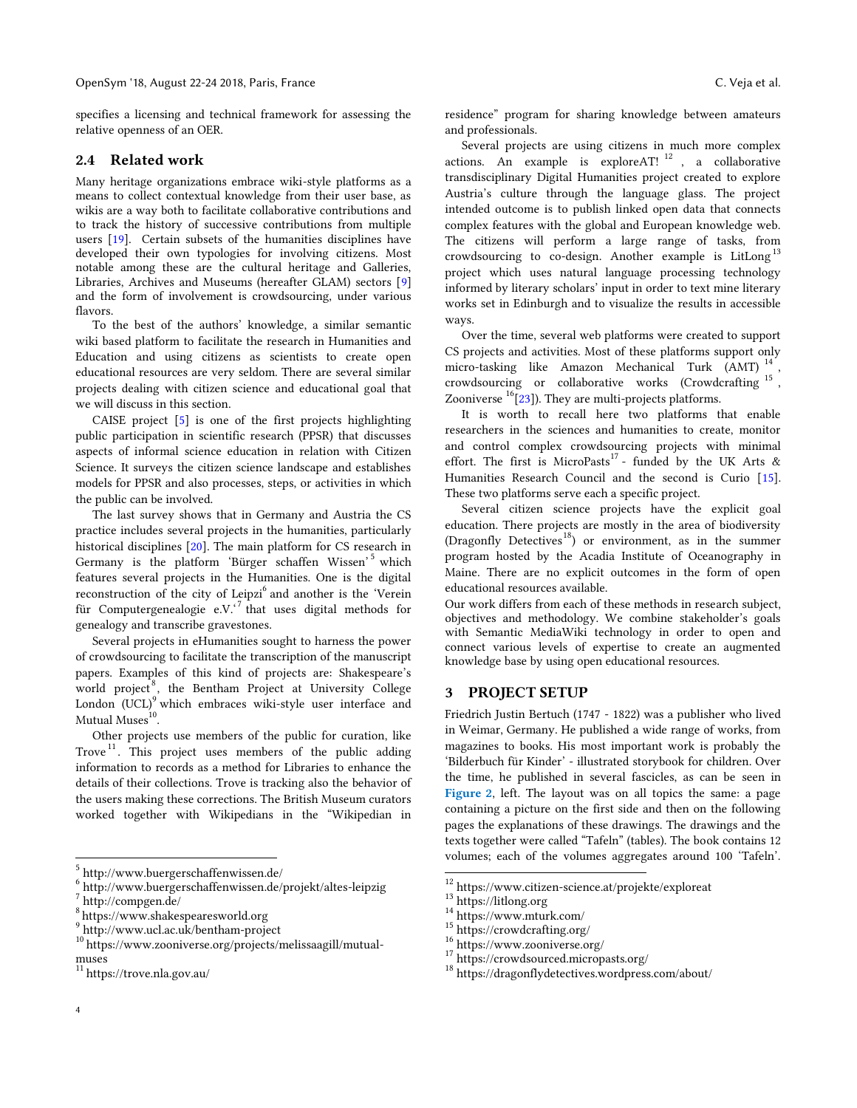specifies a licensing and technical framework for assessing the relative openness of an OER.

## **2.4 Related work**

Many heritage organizations embrace wiki-style platforms as a means to collect contextual knowledge from their user base, as wikis are a way both to facilitate collaborative contributions and to track the history of successive contributions from multiple users [\[19\]](#page-11-2). Certain subsets of the humanities disciplines have developed their own typologies for involving citizens. Most notable among these are the cultural heritage and Galleries, Libraries, Archives and Museums (hereafter GLAM) sectors [\[9\]](#page-10-8) and the form of involvement is crowdsourcing, under various flavors.

To the best of the authors' knowledge, a similar semantic wiki based platform to facilitate the research in Humanities and Education and using citizens as scientists to create open educational resources are very seldom. There are several similar projects dealing with citizen science and educational goal that we will discuss in this section.

CAISE project [\[5\]](#page-10-11) is one of the first projects highlighting public participation in scientific research (PPSR) that discusses aspects of informal science education in relation with Citizen Science. It surveys the citizen science landscape and establishes models for PPSR and also processes, steps, or activities in which the public can be involved.

The last survey shows that in Germany and Austria the CS practice includes several projects in the humanities, particularly historical disciplines [\[20\]](#page-11-8). The main platform for CS research in Germany is the platform 'Bürger schaffen Wissen' <sup>5</sup> which features several projects in the Humanities. One is the digital reconstruction of the city of Leipzi<sup>6</sup> and another is the 'Verein für Computergenealogie e.V.<sup>'7</sup> that uses digital methods for genealogy and transcribe gravestones.

Several projects in eHumanities sought to harness the power of crowdsourcing to facilitate the transcription of the manuscript papers. Examples of this kind of projects are: Shakespeare's world project<sup>8</sup>, the Bentham Project at University College London  $(UCL)^9$  which embraces wiki-style user interface and Mutual Muses $^{10}$ .

Other projects use members of the public for curation, like Trove<sup>11</sup>. This project uses members of the public adding information to records as a method for Libraries to enhance the details of their collections. Trove is tracking also the behavior of the users making these corrections. The British Museum curators worked together with Wikipedians in the "Wikipedian in residence" program for sharing knowledge between amateurs and professionals.

Several projects are using citizens in much more complex actions. An example is exploreAT! <sup>12</sup> , a collaborative transdisciplinary Digital Humanities project created to explore Austria's culture through the language glass. The project intended outcome is to publish linked open data that connects complex features with the global and European knowledge web. The citizens will perform a large range of tasks, from crowdsourcing to co-design. Another example is LitLong<sup>13</sup> project which uses natural language processing technology informed by literary scholars' input in order to text mine literary works set in Edinburgh and to visualize the results in accessible ways.

Over the time, several web platforms were created to support CS projects and activities. Most of these platforms support only micro-tasking like Amazon Mechanical Turk (AMT)<sup>14</sup> , crowdsourcing or collaborative works (Crowdcrafting <sup>15</sup> , Zooniverse  $<sup>16</sup>[23]$  $<sup>16</sup>[23]$ ). They are multi-projects platforms.</sup>

It is worth to recall here two platforms that enable researchers in the sciences and humanities to create, monitor and control complex crowdsourcing projects with minimal effort. The first is MicroPasts<sup>17</sup> - funded by the UK Arts & Humanities Research Council and the second is Curio [\[15\]](#page-10-13). These two platforms serve each a specific project.

Several citizen science projects have the explicit goal education. There projects are mostly in the area of biodiversity [\(Dragonfly Detectives](http://www.gotscience.org/2017/09/can-kids-become-citizen-scientists/)<sup>18</sup>) or environment, as in the summer [program hosted by the Acadia Institute of Oceanography](http://www.acadiainstitute.com/) in Maine. There are no explicit outcomes in the form of open educational resources available.

Our work differs from each of these methods in research subject, objectives and methodology. We combine stakeholder's goals with Semantic MediaWiki technology in order to open and connect various levels of expertise to create an augmented knowledge base by using open educational resources.

# <span id="page-3-0"></span>**3 PROJECT SETUP**

Friedrich Justin Bertuch (1747 - 1822) was a publisher who lived in Weimar, Germany. He published a wide range of works, from magazines to books. His most important work is probably the 'Bilderbuch für Kinder' - illustrated storybook for children. Over the time, he published in several fascicles, as can be seen in **[Figure 2](#page-7-0)**[,](#page-7-0) left. The layout was on all topics the same: a page containing a picture on the first side and then on the following pages the explanations of these drawings. The drawings and the texts together were called "Tafeln" (tables). The book contains 12 volumes; each of the volumes aggregates around 100 'Tafeln'.

 $\overline{a}$ 

 $\overline{a}$ 

<sup>5</sup> http://www.buergerschaffenwissen.de/

<sup>6</sup> http://www.buergerschaffenwissen.de/projekt/altes-leipzig

<sup>7</sup> http://compgen.de/

<sup>8</sup> https://www.shakespearesworld.org

<sup>9</sup> http://www.ucl.ac.uk/bentham-project

<sup>10</sup> https://www.zooniverse.org/projects/melissaagill/mutualmuses

 $\rm ^{11}$  https://trove.nla.gov.au/

 $\frac{12}{12}$ https://www.citizen-science.at/projekte/exploreat

<sup>13</sup> https://litlong.org

 $14$  https://www.mturk.com/

<sup>15</sup> https://crowdcrafting.org/

<sup>16</sup> <https://www.zooniverse.org/>

 $^{17}$ https://crowdsourced.micropasts.org/  $\,$ 

<sup>18</sup> https://dragonflydetectives.wordpress.com/about/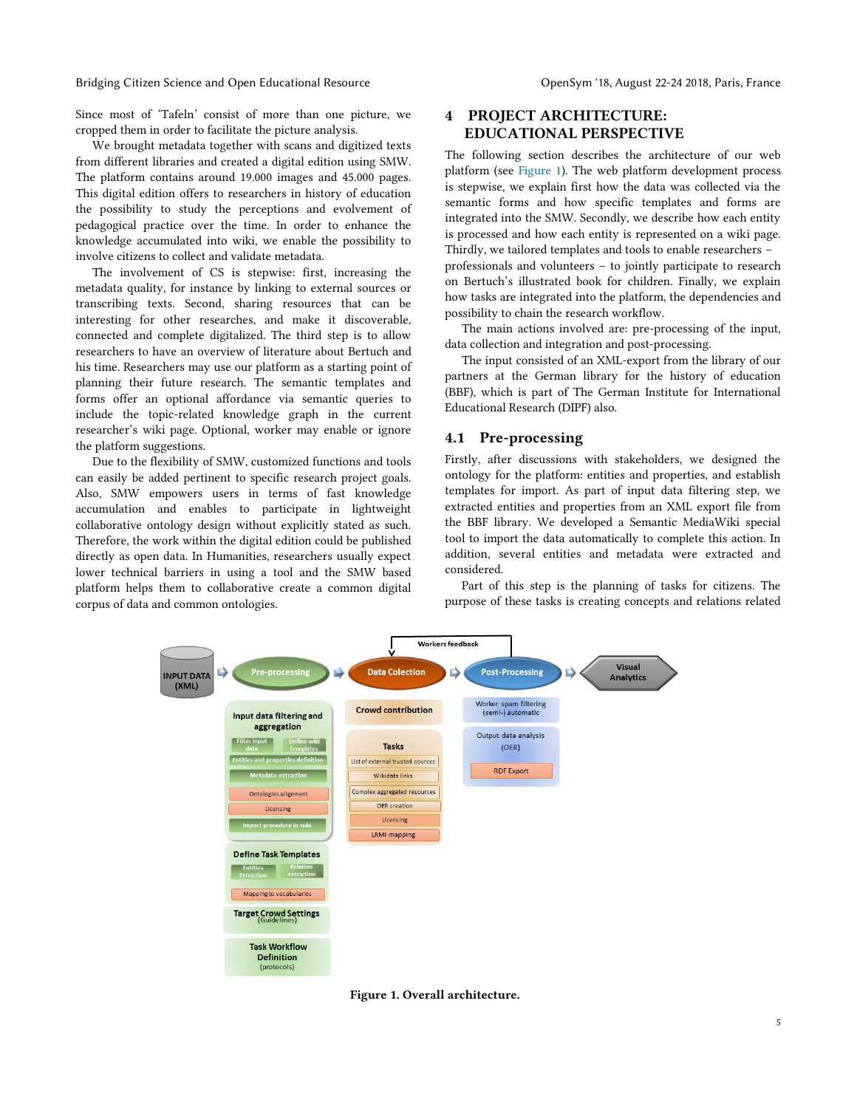Bridging Citizen Science and Open Educational Resource **Community Constructs** OpenSym '18, August 22-24 2018, Paris, France

Since most of 'Tafeln' consist of more than one picture, we cropped them in order to facilitate the picture analysis.

We brought metadata together with scans and digitized texts from different libraries and created a digital edition using SMW. The platform contains around 19.000 images and 45.000 pages. This digital edition offers to researchers in history of education the possibility to study the perceptions and evolvement of pedagogical practice over the time. In order to enhance the knowledge accumulated into wiki, we enable the possibility to involve citizens to collect and validate metadata.

The involvement of CS is stepwise: first, increasing the metadata quality, for instance by linking to external sources or transcribing texts. Second, sharing resources that can be interesting for other researches, and make it discoverable, connected and complete digitalized. The third step is to allow researchers to have an overview of literature about Bertuch and his time. Researchers may use our platform as a starting point of planning their future research. The semantic templates and forms offer an optional affordance via semantic queries to include the topic-related knowledge graph in the current researcher's wiki page. Optional, worker may enable or ignore the platform suggestions.

Due to the flexibility of SMW, customized functions and tools can easily be added pertinent to specific research project goals. Also, SMW empowers users in terms of fast knowledge accumulation and enables to participate in lightweight collaborative ontology design without explicitly stated as such. Therefore, the work within the digital edition could be published directly as open data. In Humanities, researchers usually expect lower technical barriers in using a tool and the SMW based platform helps them to collaborative create a common digital corpus of data and common ontologies.

# <span id="page-4-0"></span>**4 PROJECT ARCHITECTURE: EDUCATIONAL PERSPECTIVE**

The following section describes the architecture of our web platform (see [Figure 1\)](#page-4-1). The web platform development process is stepwise, we explain first how the data was collected via the semantic forms and how specific templates and forms are integrated into the SMW. Secondly, we describe how each entity is processed and how each entity is represented on a wiki page. Thirdly, we tailored templates and tools to enable researchers – professionals and volunteers – to jointly participate to research on Bertuch's illustrated book for children. Finally, we explain how tasks are integrated into the platform, the dependencies and possibility to chain the research workflow.

The main actions involved are: pre-processing of the input, data collection and integration and post-processing.

The input consisted of an XML-export from the library of our partners at the German library for the history of education (BBF), which is part of The German Institute for International Educational Research (DIPF) also.

## **4.1 Pre-processing**

Firstly, after discussions with stakeholders, we designed the ontology for the platform: entities and properties, and establish templates for import. As part of input data filtering step, we extracted entities and properties from an XML export file from the BBF library. We developed a Semantic MediaWiki special tool to import the data automatically to complete this action. In addition, several entities and metadata were extracted and considered.

Part of this step is the planning of tasks for citizens. The purpose of these tasks is creating concepts and relations related



<span id="page-4-1"></span>**Figure 1. Overall architecture.**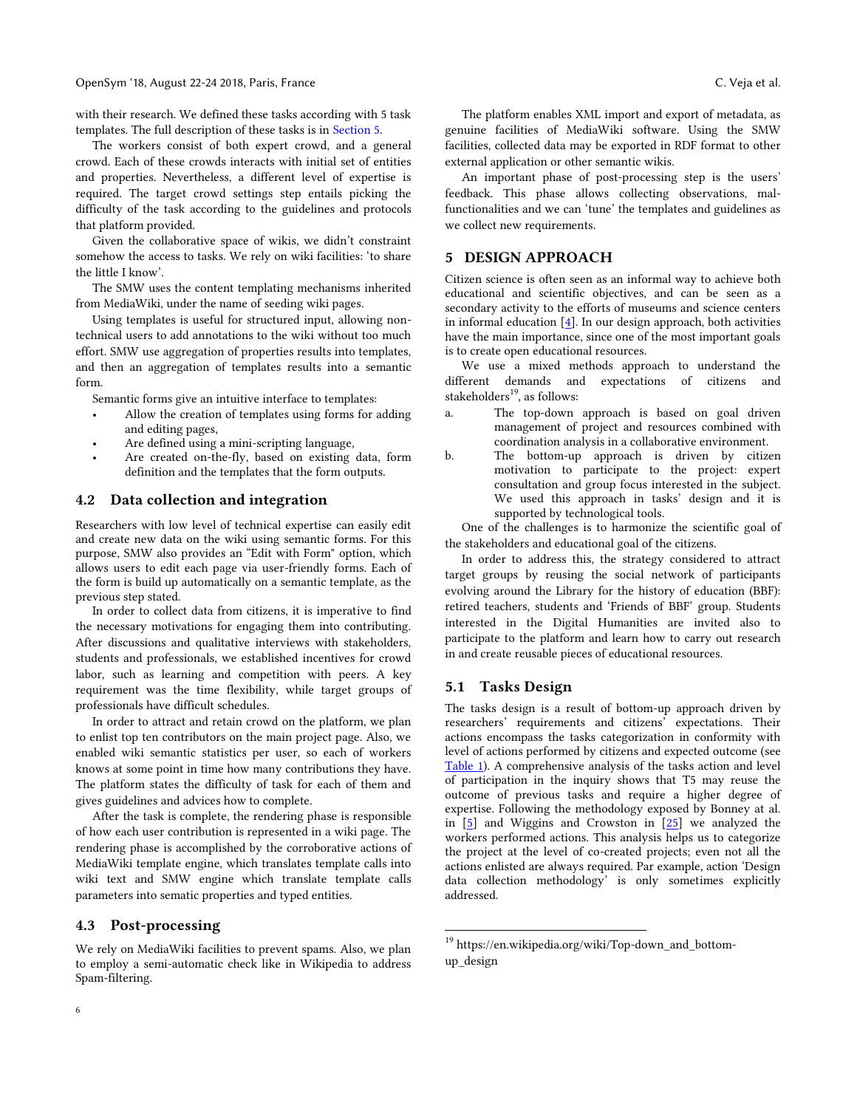#### OpenSym '18, August 22-24 2018, Paris, France C. Veja et al.

The workers consist of both expert crowd, and a general crowd. Each of these crowds interacts with initial set of entities and properties. Nevertheless, a different level of expertise is required. The target crowd settings step entails picking the difficulty of the task according to the guidelines and protocols that platform provided.

Given the collaborative space of wikis, we didn't constraint somehow the access to tasks. We rely on wiki facilities: 'to share the little I know'.

The SMW uses the content templating mechanisms inherited from MediaWiki, under the name of seeding wiki pages.

Using templates is useful for structured input, allowing nontechnical users to add annotations to the wiki without too much effort. SMW use aggregation of properties results into templates, and then an aggregation of templates results into a semantic form.

Semantic forms give an intuitive interface to templates:

- Allow the creation of templates using forms for adding and editing pages,
- Are defined using a mini-scripting language,
- Are created on-the-fly, based on existing data, form definition and the templates that the form outputs.

## **4.2 Data collection and integration**

Researchers with low level of technical expertise can easily edit and create new data on the wiki using semantic forms. For this purpose, SMW also provides an "Edit with Form" option, which allows users to edit each page via user-friendly forms. Each of the form is build up automatically on a semantic template, as the previous step stated.

In order to collect data from citizens, it is imperative to find the necessary motivations for engaging them into contributing. After discussions and qualitative interviews with stakeholders, students and professionals, we established incentives for crowd labor, such as learning and competition with peers. A key requirement was the time flexibility, while target groups of professionals have difficult schedules.

In order to attract and retain crowd on the platform, we plan to enlist top ten contributors on the main project page. Also, we enabled wiki semantic statistics per user, so each of workers knows at some point in time how many contributions they have. The platform states the difficulty of task for each of them and gives guidelines and advices how to complete.

After the task is complete, the rendering phase is responsible of how each user contribution is represented in a wiki page. The rendering phase is accomplished by the corroborative actions of MediaWiki template engine, which translates template calls into wiki text and SMW engine which translate template calls parameters into sematic properties and typed entities.

## **4.3 Post-processing**

We rely on MediaWiki facilities to prevent spams. Also, we plan to employ a semi-automatic check like in Wikipedia to address Spam-filtering.

The platform enables XML import and export of metadata, as genuine facilities of MediaWiki software. Using the SMW facilities, collected data may be exported in RDF format to other

external application or other semantic wikis. An important phase of post-processing step is the users' feedback. This phase allows collecting observations, malfunctionalities and we can 'tune' the templates and guidelines as we collect new requirements.

## <span id="page-5-0"></span>**5 DESIGN APPROACH**

Citizen science is often seen as an informal way to achieve both educational and scientific objectives, and can be seen as a secondary activity to the efforts of museums and science centers in informal education  $[4]$ . In our design approach, both activities have the main importance, since one of the most important goals is to create open educational resources.

We use a mixed methods approach to understand the different demands and expectations of citizens and stakeholders $^{19}$ , as follows:

- a. The top-down approach is based on goal driven management of project and resources combined with coordination analysis in a collaborative environment.
- b. The bottom-up approach is driven by citizen motivation to participate to the project: expert consultation and group focus interested in the subject. We used this approach in tasks' design and it is supported by technological tools.

One of the challenges is to harmonize the scientific goal of the stakeholders and educational goal of the citizens.

In order to address this, the strategy considered to attract target groups by reusing the social network of participants evolving around the Library for the history of education (BBF): retired teachers, students and 'Friends of BBF' group. Students interested in the Digital Humanities are invited also to participate to the platform and learn how to carry out research in and create reusable pieces of educational resources.

#### **5.1 Tasks Design**

j

The tasks design is a result of bottom-up approach driven by researchers' requirements and citizens' expectations. Their actions encompass the tasks categorization in conformity with level of actions performed by citizens and expected outcome (see [Table 1\)](#page-6-0). A comprehensive analysis of the tasks action and level of participation in the inquiry shows that T5 may reuse the outcome of previous tasks and require a higher degree of expertise. Following the methodology exposed by Bonney at al. in [\[5\]](#page-10-11) and Wiggins and Crowston in [\[25\]](#page-11-10) we analyzed the workers performed actions. This analysis helps us to categorize the project at the level of co-created projects; even not all the actions enlisted are always required. Par example, action 'Design data collection methodology' is only sometimes explicitly addressed.

 $^{19}$ https://en.wikipedia.org/wiki/Top-down\_and\_bottomup\_design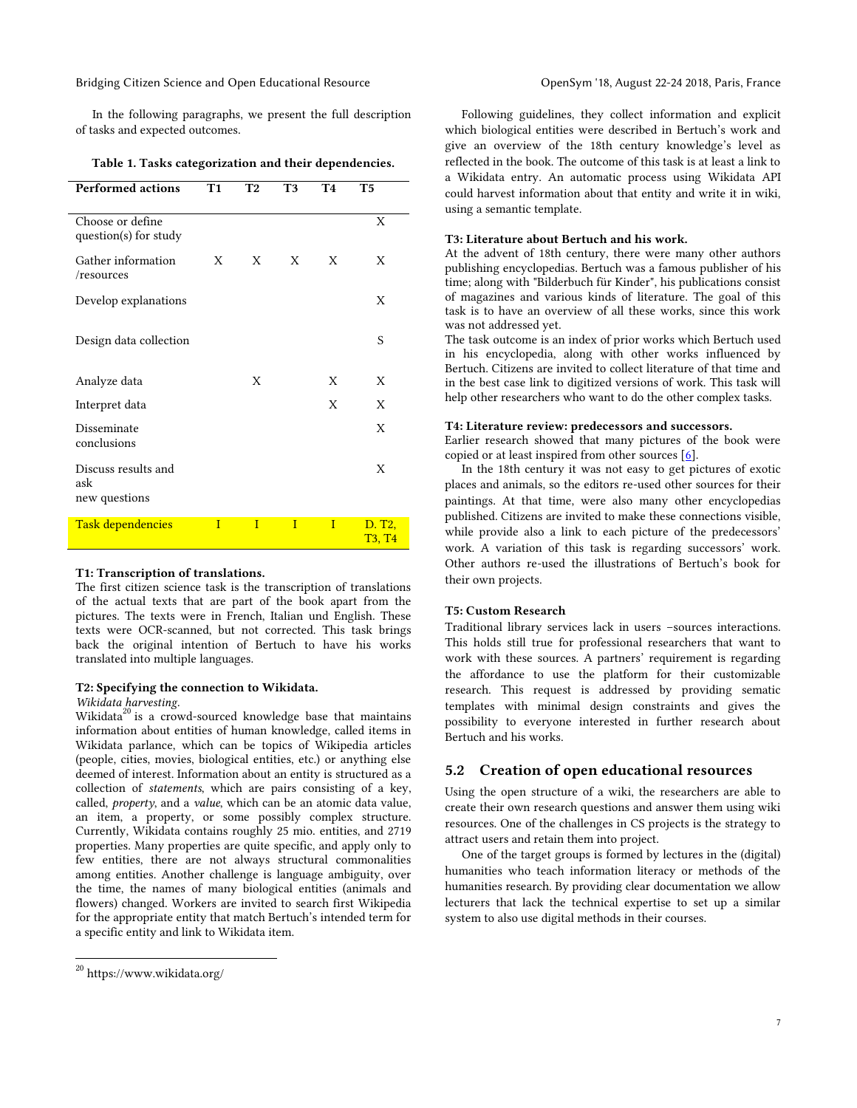Bridging Citizen Science and Open Educational Resource **Open Sym '18, August 22-24 2018, Paris, France** 

In the following paragraphs, we present the full description of tasks and expected outcomes.

|  |  | Table 1. Tasks categorization and their dependencies. |  |  |
|--|--|-------------------------------------------------------|--|--|
|--|--|-------------------------------------------------------|--|--|

<span id="page-6-0"></span>

| <b>Performed actions</b>                    | T1           | T2           | T3           | <b>T4</b>    | T5                                 |
|---------------------------------------------|--------------|--------------|--------------|--------------|------------------------------------|
| Choose or define<br>question(s) for study   |              |              |              |              | X                                  |
| Gather information<br>/resources            | X            | X            | X            | X            | X                                  |
| Develop explanations                        |              |              |              |              | X                                  |
| Design data collection                      |              |              |              |              | S                                  |
| Analyze data                                |              | X            |              | X            | X                                  |
| Interpret data                              |              |              |              | X            | X                                  |
| Disseminate<br>conclusions                  |              |              |              |              | X                                  |
| Discuss results and<br>ask<br>new questions |              |              |              |              | X                                  |
| <b>Task dependencies</b>                    | $\mathbf{I}$ | $\mathbf{I}$ | $\mathbf{I}$ | $\mathbf{I}$ | D. T <sub>2</sub><br><b>T3, T4</b> |

#### **T1: Transcription of translations.**

The first citizen science task is the transcription of translations of the actual texts that are part of the book apart from the pictures. The texts were in French, Italian und English. These texts were OCR-scanned, but not corrected. This task brings back the original intention of Bertuch to have his works translated into multiple languages.

#### **T2: Specifying the connection to Wikidata.**

*Wikidata harvesting.*

Wikidata $20$  is a crowd-sourced knowledge base that maintains information about entities of human knowledge, called items in Wikidata parlance, which can be topics of Wikipedia articles (people, cities, movies, biological entities, etc.) or anything else deemed of interest. Information about an entity is structured as a collection of *statements*, which are pairs consisting of a key, called, *property*, and a *value*, which can be an atomic data value, an item, a property, or some possibly complex structure. Currently, Wikidata contains roughly 25 mio. entities, and 2719 properties. Many properties are quite specific, and apply only to few entities, there are not always structural commonalities among entities. Another challenge is language ambiguity, over the time, the names of many biological entities (animals and flowers) changed. Workers are invited to search first Wikipedia for the appropriate entity that match Bertuch's intended term for a specific entity and link to Wikidata item.

j

Following guidelines, they collect information and explicit which biological entities were described in Bertuch's work and give an overview of the 18th century knowledge's level as reflected in the book. The outcome of this task is at least a link to a Wikidata entry. An automatic process using Wikidata API could harvest information about that entity and write it in wiki, using a semantic template.

#### **T3: Literature about Bertuch and his work.**

At the advent of 18th century, there were many other authors publishing encyclopedias. Bertuch was a famous publisher of his time; along with "Bilderbuch für Kinder", his publications consist of magazines and various kinds of literature. The goal of this task is to have an overview of all these works, since this work was not addressed yet.

The task outcome is an index of prior works which Bertuch used in his encyclopedia, along with other works influenced by Bertuch. Citizens are invited to collect literature of that time and in the best case link to digitized versions of work. This task will help other researchers who want to do the other complex tasks.

# **T4: Literature review: predecessors and successors.**

Earlier research showed that many pictures of the book were copied or at least inspired from other sources  $[6]$ .

In the 18th century it was not easy to get pictures of exotic places and animals, so the editors re-used other sources for their paintings. At that time, were also many other encyclopedias published. Citizens are invited to make these connections visible, while provide also a link to each picture of the predecessors' work. A variation of this task is regarding successors' work. Other authors re-used the illustrations of Bertuch's book for their own projects.

#### **T5: Custom Research**

Traditional library services lack in users –sources interactions. This holds still true for professional researchers that want to work with these sources. A partners' requirement is regarding the affordance to use the platform for their customizable research. This request is addressed by providing sematic templates with minimal design constraints and gives the possibility to everyone interested in further research about Bertuch and his works.

#### **5.2 Creation of open educational resources**

Using the open structure of a wiki, the researchers are able to create their own research questions and answer them using wiki resources. One of the challenges in CS projects is the strategy to attract users and retain them into project.

One of the target groups is formed by lectures in the (digital) humanities who teach information literacy or methods of the humanities research. By providing clear documentation we allow lecturers that lack the technical expertise to set up a similar system to also use digital methods in their courses.

<sup>20</sup> https://www.wikidata.org/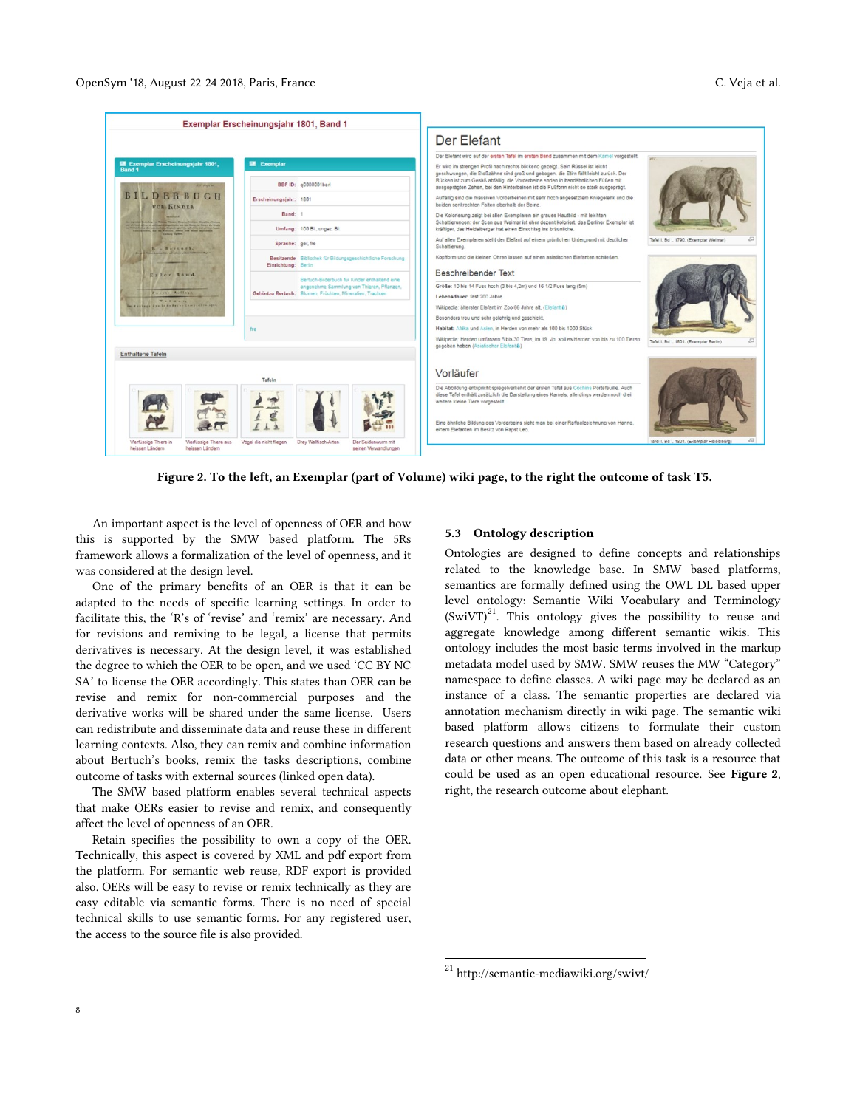|                                                                                                                                                                                                               | Exemplar Erscheinungsjahr 1801, Band 1                                                                |                                                                                                                                                                                                                                                                                                                                                                |                                                  |
|---------------------------------------------------------------------------------------------------------------------------------------------------------------------------------------------------------------|-------------------------------------------------------------------------------------------------------|----------------------------------------------------------------------------------------------------------------------------------------------------------------------------------------------------------------------------------------------------------------------------------------------------------------------------------------------------------------|--------------------------------------------------|
|                                                                                                                                                                                                               |                                                                                                       | Der Elefant                                                                                                                                                                                                                                                                                                                                                    |                                                  |
|                                                                                                                                                                                                               |                                                                                                       | Der Elefant wird auf der ersten Tafel im ersten Band zusammen mit dem Kamel vorgestellt.                                                                                                                                                                                                                                                                       |                                                  |
| E Exemplar Erscheinungsjahr 1801,<br><b>Band 1</b>                                                                                                                                                            | <b>昆</b> Exemplar                                                                                     | Er wird im strengen Profil nach rechts blickend gezeigt. Sein Rüssel ist leicht                                                                                                                                                                                                                                                                                |                                                  |
| 324 March 26                                                                                                                                                                                                  | BBF ID: 00000001ber                                                                                   | geschwungen, die Stoßzähne sind groß und gebogen, die Stirn fällt leicht zurück. Der<br>Rücken ist zum Gesäß abfällig, die Vorderbeine enden in handähnlichen Füßen mit<br>ausgeprägten Zehen, bei den Hinterbeinen ist die Fußform nicht so stark ausgeprägt.                                                                                                 |                                                  |
| BILDERBUCH<br>FOR KINDER                                                                                                                                                                                      | Erscheinungsjahr: 1801                                                                                | Auffällig sind die massiven Vorderbeinen mit sehr hoch angesetztem Kniegelenk und die<br>beiden senkrechten Falten oberhalb der Beine                                                                                                                                                                                                                          |                                                  |
| ship on Times, Mean, Room, Fission, Howitz, To<br>and afternoon date to an antich probably interesting the state final state for No.a., the North<br>with the following index generally pollutions, and moved | Band: 1<br>Umfang: 100 Bl., ungez. Bl.                                                                | Die Kolorierung zeigt bei allen Exemplaren ein graues Hautbild - mit leichten<br>Schattlerungen: der Scan aus Weimar ist eher dezent koloriert, das Berliner Exemplar ist<br>kräftiger, das Heidelberger hat einen Einschlag ins bräunliche.                                                                                                                   |                                                  |
| <b>Bibliota Square,</b><br>E. L. Borrandh.                                                                                                                                                                    | Sprache: ger, fre                                                                                     | Auf allen Exemplaren steht der Elefant auf einem grünlichen Untergrund mit deutlicher<br>Schattierung.                                                                                                                                                                                                                                                         | Tafel I. Bd I. 1790. (Exemplar Weimar)           |
| <b>Charles Minister Commissioner</b>                                                                                                                                                                          | Besitzende   Bibliothek für Bildungsgeschichtliche Forschung<br>Einrichtung: Berlin                   | Kopfform und die kleinen Ohren lassen auf einen asiatischen Elefanten schließen.                                                                                                                                                                                                                                                                               |                                                  |
| Erfer Band.                                                                                                                                                                                                   | Bertuch-Bilderbuch für Kinder enthaltend eine                                                         | <b>Reschreibender Text</b>                                                                                                                                                                                                                                                                                                                                     |                                                  |
| Zuever Auflage                                                                                                                                                                                                | angenehme Sammlung von Thieren, Pflanzen,<br>Gehörtzu Bertuch: Blumen, Früchten, Mineralien, Trachten | Größe: 10 bis 14 Fuss hoch (3 bis 4,2m) und 16 1/2 Fuss lang (5m)                                                                                                                                                                                                                                                                                              |                                                  |
| W . I<br>In Variage des Indickers : Comprehen spot-                                                                                                                                                           |                                                                                                       | Lebensdauer: fast 200 Jahre<br>Wikipedia: älterster Elefant im Zoo 86 Jahre alt, (Elefant &)                                                                                                                                                                                                                                                                   |                                                  |
|                                                                                                                                                                                                               |                                                                                                       | Besonders treu und sehr gelehrig und geschickt.                                                                                                                                                                                                                                                                                                                |                                                  |
|                                                                                                                                                                                                               | fre                                                                                                   | Habitat: Afrika und Asien, in Herden von mehr als 100 bis 1000 Stück                                                                                                                                                                                                                                                                                           |                                                  |
|                                                                                                                                                                                                               |                                                                                                       | Wikipedia: Herden umfassen 8 bis 30 Tiere, im 19. Jh. soll es Herden von bis zu 100 Tieren<br>gegeben haben (Asiatischer Elefant a)                                                                                                                                                                                                                            | Tafel I, Bd I, 1801. (Exemplar Berlin)           |
| <b>Enthaltene Tafeln</b>                                                                                                                                                                                      |                                                                                                       |                                                                                                                                                                                                                                                                                                                                                                |                                                  |
|                                                                                                                                                                                                               | Tafeln                                                                                                | Vorläufer                                                                                                                                                                                                                                                                                                                                                      |                                                  |
|                                                                                                                                                                                                               |                                                                                                       | Die Abbildung entspricht spiegelverkehrt der ersten Tafel aus Cochins Portefeuille. Auch<br>diese Tafel enthält zusätzlich die Darstellung eines Kamels, allerdings werden noch drei<br>weitere kleine Tiere vorgestellt.<br>Eine ähnliche Bildung des Vorderbeins sieht man bei einer Raffaelzeichnung von Hanno,<br>einem Elefanten im Besitz von Papst Leo. |                                                  |
| Vierfüssige Thiere in<br>Vierfussige Thiere aus<br>heissen Ländern<br>heissen Ländem                                                                                                                          | Vogel die nicht fliegen<br>Drey Walfisch-Arten<br>Der Seidenwurm mit<br>seinen Verwandlungen          |                                                                                                                                                                                                                                                                                                                                                                | 53<br>Tafel I. Bd I. 1801. (Exemplar Heidelberg) |

<span id="page-7-0"></span>**Figure 2. To the left, an Exemplar (part of Volume) wiki page, to the right the outcome of task T5.**

An important aspect is the level of openness of OER and how this is supported by the SMW based platform. The 5Rs framework allows a formalization of the level of openness, and it was considered at the design level.

One of the primary benefits of an OER is that it can be adapted to the needs of specific learning settings. In order to facilitate this, the 'R's of 'revise' and 'remix' are necessary. And for revisions and remixing to be legal, a license that permits derivatives is necessary. At the design level, it was established the degree to which the OER to be open, and we used 'CC BY NC SA' to license the OER accordingly. This states than OER can be revise and remix for non-commercial purposes and the derivative works will be shared under the same license. Users can redistribute and disseminate data and reuse these in different learning contexts. Also, they can remix and combine information about Bertuch's books, remix the tasks descriptions, combine outcome of tasks with external sources (linked open data).

The SMW based platform enables several technical aspects that make OERs easier to revise and remix, and consequently affect the level of openness of an OER.

Retain specifies the possibility to own a copy of the OER. Technically, this aspect is covered by XML and pdf export from the platform. For semantic web reuse, RDF export is provided also. OERs will be easy to revise or remix technically as they are easy editable via semantic forms. There is no need of special technical skills to use semantic forms. For any registered user, the access to the source file is also provided.

## **5.3 Ontology description**

Ontologies are designed to define concepts and relationships related to the knowledge base. In SMW based platforms, semantics are formally defined using the OWL DL based upper level ontology: Semantic Wiki Vocabulary and Terminology  $(SwiVT)^{21}$ . This ontology gives the possibility to reuse and aggregate knowledge among different semantic wikis. This ontology includes the most basic terms involved in the markup metadata model used by SMW. SMW reuses the MW "Category" namespace to define classes. A wiki page may be declared as an instance of a class. The semantic properties are declared via annotation mechanism directly in wiki page. The semantic wiki based platform allows citizens to formulate their custom research questions and answers them based on already collected data or other means. The outcome of this task is a resource that could be used as an open educational resource. See **[Figure 2](#page-7-0)**, right, the research outcome about elephant.

j

<sup>&</sup>lt;sup>21</sup> http://semantic-mediawiki.org/swivt/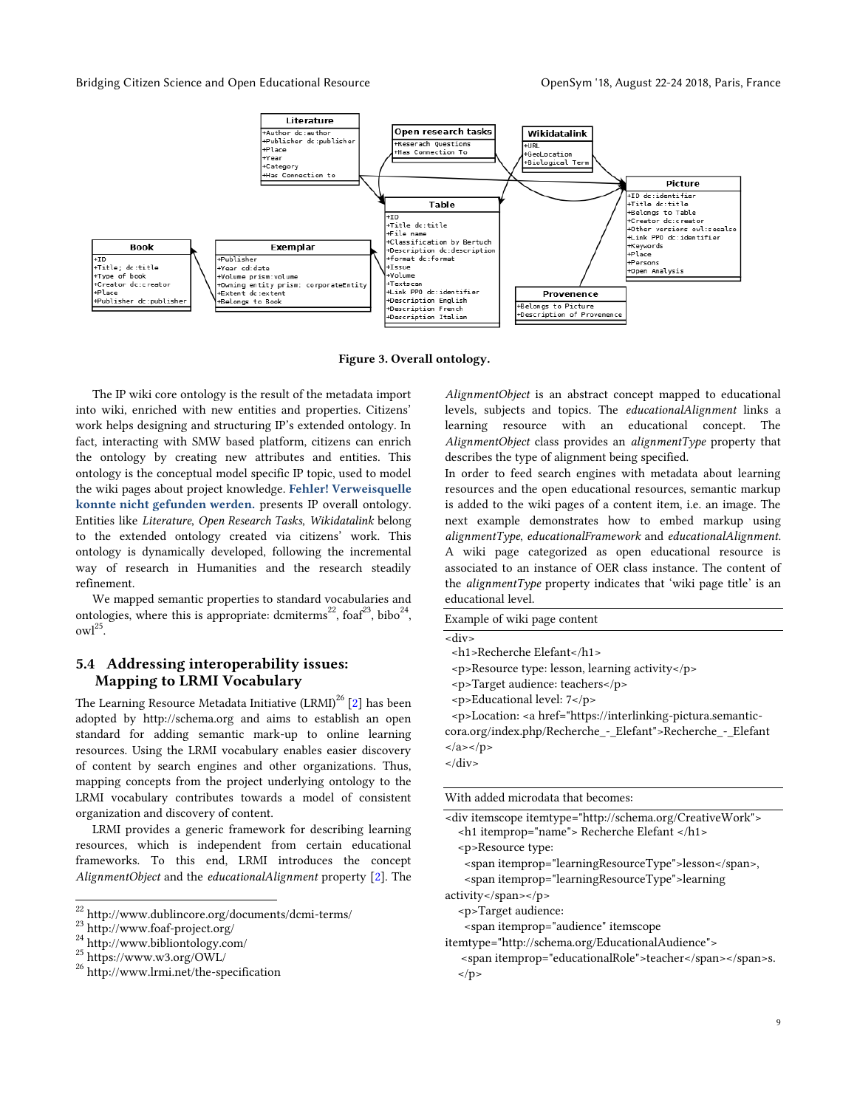#### Bridging Citizen Science and Open Educational Resource **Open Sym '18, August 22-24 2018, Paris, France**



**Figure 3. Overall ontology.**

The IP wiki core ontology is the result of the metadata import into wiki, enriched with new entities and properties. Citizens' work helps designing and structuring IP's extended ontology. In fact, interacting with SMW based platform, citizens can enrich the ontology by creating new attributes and entities. This ontology is the conceptual model specific IP topic, used to model the wiki pages about project knowledge. **Fehler! Verweisquelle konnte nicht gefunden werden.** presents IP overall ontology. Entities like *Literature*, *Open Research Tasks*, *Wikidatalink* belong to the extended ontology created via citizens' work. This ontology is dynamically developed, following the incremental way of research in Humanities and the research steadily refinement.

We mapped semantic properties to standard vocabularies and ontologies, where this is appropriate: dcmiterms<sup>22</sup>, foaf<sup>23</sup>, bibo<sup>24</sup>,  $owl<sup>25</sup>$ .

# **5.4 Addressing interoperability issues: Mapping to LRMI Vocabulary**

The Learning Resource Metadata Initiative  $(LRMI)^{26}$  [\[2\]](#page-10-14) has been adopted by http://schema.org and aims to establish an open standard for adding semantic mark-up to online learning resources. Using the LRMI vocabulary enables easier discovery of content by search engines and other organizations. Thus, mapping concepts from the project underlying ontology to the LRMI vocabulary contributes towards a model of consistent organization and discovery of content.

LRMI provides a generic framework for describing learning resources, which is independent from certain educational frameworks. To this end, LRMI introduces the concept *AlignmentObject* and the *educationalAlignment* property [\[2\]](#page-10-14). The

 $\overline{a}$ 

*AlignmentObject* is an abstract concept mapped to educational levels, subjects and topics. The *educationalAlignment* links a learning resource with an educational concept. The *AlignmentObject* class provides an *alignmentType* property that describes the type of alignment being specified.

In order to feed search engines with metadata about learning resources and the open educational resources, semantic markup is added to the wiki pages of a content item, i.e. an image. The next example demonstrates how to embed markup using *alignmentType*, *educationalFramework* and *educationalAlignment*. A wiki page categorized as open educational resource is associated to an instance of OER class instance. The content of the *alignmentType* property indicates that 'wiki page title' is an educational level.

| Example of wiki page content                                                                                                                                              |
|---------------------------------------------------------------------------------------------------------------------------------------------------------------------------|
| <div></div>                                                                                                                                                               |
| <h1>Recherche Elefant</h1>                                                                                                                                                |
| <p>Resource type: lesson, learning activity</p>                                                                                                                           |
| $-p$ >Target audience: teachers                                                                                                                                           |
| <p>Educational level: 7</p>                                                                                                                                               |
| <p>Location: <a href="https://interlinking-pictura.semantic-&lt;/th&gt;&lt;/tr&gt;&lt;tr&gt;&lt;th&gt;cora.org/index.php/Recherche - Elefant">Recherche - Elefant</a></p> |
| $\langle$ a> $\langle$ p>                                                                                                                                                 |
| $\langle$ /div $\rangle$                                                                                                                                                  |
|                                                                                                                                                                           |
| With added microdata that becomes:                                                                                                                                        |

| <div itemscope="" itemtype="http://schema.org/CreativeWork"></div> |
|--------------------------------------------------------------------|
| <h1 itemprop="name"> Recherche Elefant </h1>                       |
| <p>Resource type:</p>                                              |
| <span itemprop="learningResourceType">lesson</span> ,              |
| span itemprop="learningResourceType">learning>                     |
| $activity <$ /span $>>$ /p $>$                                     |
| <p>Target audience:</p>                                            |
| span itemprop="audience" itemscope                                 |
| itemtype="http://schema.org/EducationalAudience">                  |
| -span itemprop="educationalRole">teachers.                         |
| $\langle$ /p>                                                      |
|                                                                    |

 $^{22}$ http://www.dublincore.org/documents/dcmi-terms/

<sup>23</sup> http://www.foaf-project.org/

<sup>24</sup> http://www.bibliontology.com/

 $^{25}$  https://www.w3.org/OWL/  $\,$ 

<sup>26</sup> http://www.lrmi.net/the-specification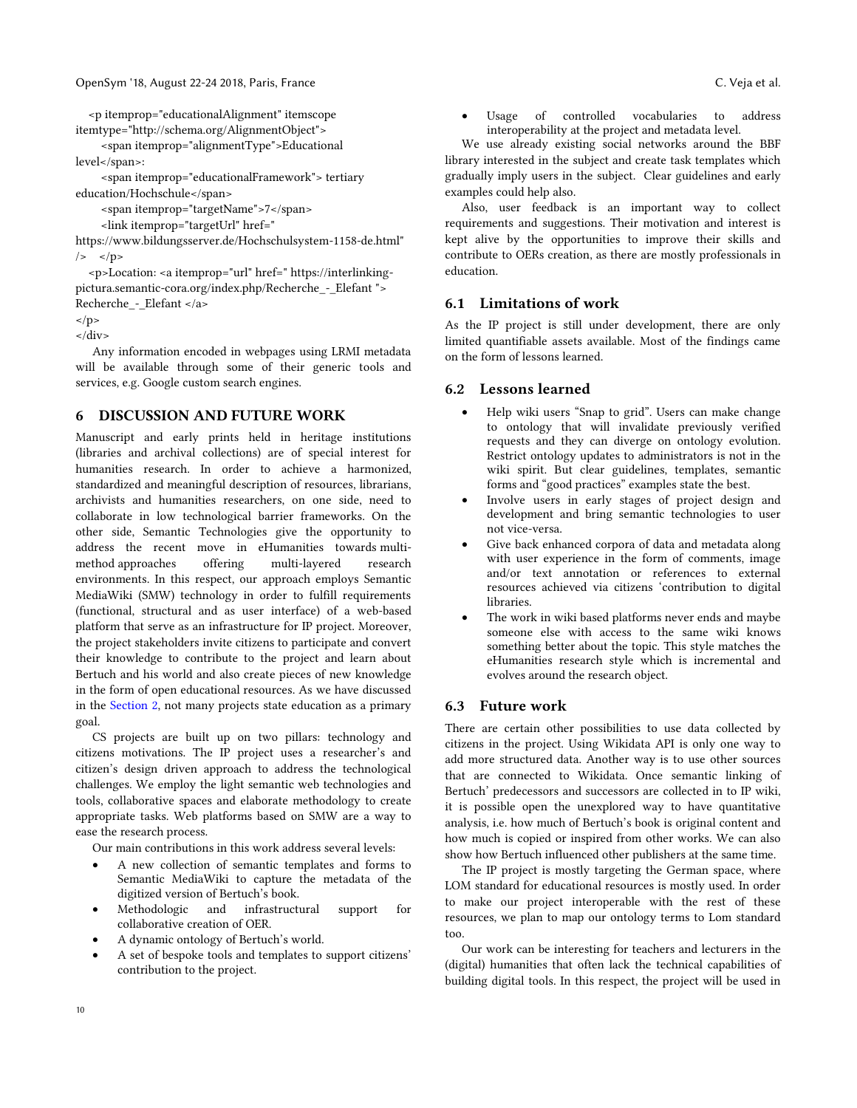<p itemprop="educationalAlignment" itemscope itemtype="http://schema.org/AlignmentObject">

 <span itemprop="alignmentType">Educational level</span>:

 <span itemprop="educationalFramework"> tertiary education/Hochschule</span>

<span itemprop="targetName">7</span>

<link itemprop="targetUrl" href="

https://www.bildungsserver.de/Hochschulsystem-1158-de.html"  $\left| \right\rangle$  </p>

 <p>Location: <a itemprop="url" href=" https://interlinkingpictura.semantic-cora.org/index.php/Recherche\_-\_Elefant "> Recherche - Elefant </a>

 $<$ /p>

 $\langle$ div $>$ 

Any information encoded in webpages using LRMI metadata will be available through some of their generic tools and services, e.g. Google custom search engines.

# **6 DISCUSSION AND FUTURE WORK**

Manuscript and early prints held in heritage institutions (libraries and archival collections) are of special interest for humanities research. In order to achieve a harmonized, standardized and meaningful description of resources, librarians, archivists and humanities researchers, on one side, need to collaborate in low technological barrier frameworks. On the other side, Semantic Technologies give the opportunity to address the recent move in eHumanities towards multimethod approaches offering multi-layered research environments. In this respect, our approach employs Semantic MediaWiki (SMW) technology in order to fulfill requirements (functional, structural and as user interface) of a web-based platform that serve as an infrastructure for IP project. Moreover, the project stakeholders invite citizens to participate and convert their knowledge to contribute to the project and learn about Bertuch and his world and also create pieces of new knowledge in the form of open educational resources. As we have discussed in the [Section 2,](#page-1-0) not many projects state education as a primary goal.

CS projects are built up on two pillars: technology and citizens motivations. The IP project uses a researcher's and citizen's design driven approach to address the technological challenges. We employ the light semantic web technologies and tools, collaborative spaces and elaborate methodology to create appropriate tasks. Web platforms based on SMW are a way to ease the research process.

Our main contributions in this work address several levels:

- A new collection of semantic templates and forms to Semantic MediaWiki to capture the metadata of the digitized version of Bertuch's book.
- Methodologic and infrastructural support for collaborative creation of OER.
- A dynamic ontology of Bertuch's world.
- A set of bespoke tools and templates to support citizens' contribution to the project.

 Usage of controlled vocabularies to address interoperability at the project and metadata level.

We use already existing social networks around the BBF library interested in the subject and create task templates which gradually imply users in the subject. Clear guidelines and early examples could help also.

Also, user feedback is an important way to collect requirements and suggestions. Their motivation and interest is kept alive by the opportunities to improve their skills and contribute to OERs creation, as there are mostly professionals in education.

# **6.1 Limitations of work**

As the IP project is still under development, there are only limited quantifiable assets available. Most of the findings came on the form of lessons learned.

# **6.2 Lessons learned**

- Help wiki users "Snap to grid". Users can make change to ontology that will invalidate previously verified requests and they can diverge on ontology evolution. Restrict ontology updates to administrators is not in the wiki spirit. But clear guidelines, templates, semantic forms and "good practices" examples state the best.
- Involve users in early stages of project design and development and bring semantic technologies to user not vice-versa.
- Give back enhanced corpora of data and metadata along with user experience in the form of comments, image and/or text annotation or references to external resources achieved via citizens 'contribution to digital libraries.
- The work in wiki based platforms never ends and maybe someone else with access to the same wiki knows something better about the topic. This style matches the eHumanities research style which is incremental and evolves around the research object.

# **6.3 Future work**

There are certain other possibilities to use data collected by citizens in the project. Using Wikidata API is only one way to add more structured data. Another way is to use other sources that are connected to Wikidata. Once semantic linking of Bertuch' predecessors and successors are collected in to IP wiki, it is possible open the unexplored way to have quantitative analysis, i.e. how much of Bertuch's book is original content and how much is copied or inspired from other works. We can also show how Bertuch influenced other publishers at the same time.

The IP project is mostly targeting the German space, where LOM standard for educational resources is mostly used. In order to make our project interoperable with the rest of these resources, we plan to map our ontology terms to Lom standard too.

Our work can be interesting for teachers and lecturers in the (digital) humanities that often lack the technical capabilities of building digital tools. In this respect, the project will be used in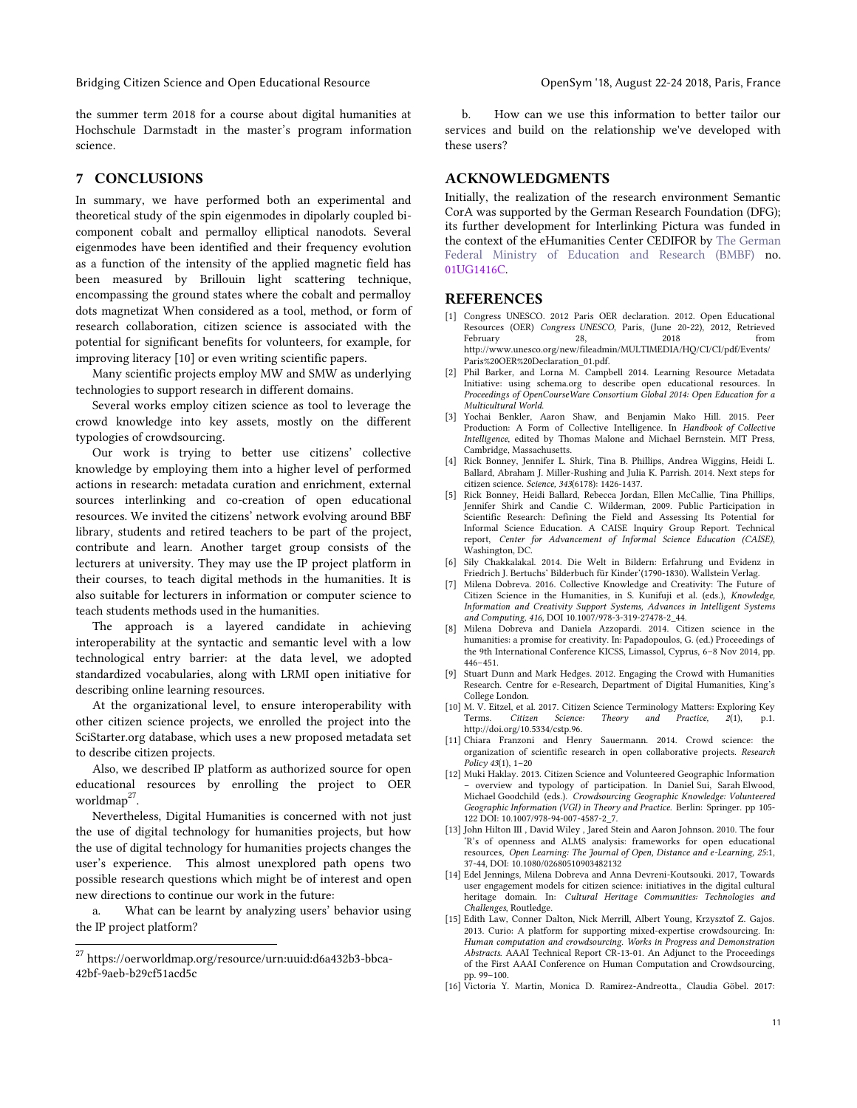the summer term 2018 for a course about digital humanities at Hochschule Darmstadt in the master's program information science.

## **7 CONCLUSIONS**

In summary, we have performed both an experimental and theoretical study of the spin eigenmodes in dipolarly coupled bicomponent cobalt and permalloy elliptical nanodots. Several eigenmodes have been identified and their frequency evolution as a function of the intensity of the applied magnetic field has been measured by Brillouin light scattering technique, encompassing the ground states where the cobalt and permalloy dots magnetizat When considered as a tool, method, or form of research collaboration, citizen science is associated with the potential for significant benefits for volunteers, for example, for improving literacy [10] or even writing scientific papers.

Many scientific projects employ MW and SMW as underlying technologies to support research in different domains.

Several works employ citizen science as tool to leverage the crowd knowledge into key assets, mostly on the different typologies of crowdsourcing.

Our work is trying to better use citizens' collective knowledge by employing them into a higher level of performed actions in research: metadata curation and enrichment, external sources interlinking and co-creation of open educational resources. We invited the citizens' network evolving around BBF library, students and retired teachers to be part of the project, contribute and learn. Another target group consists of the lecturers at university. They may use the IP project platform in their courses, to teach digital methods in the humanities. It is also suitable for lecturers in information or computer science to teach students methods used in the humanities.

The approach is a layered candidate in achieving interoperability at the syntactic and semantic level with a low technological entry barrier: at the data level, we adopted standardized vocabularies, along with LRMI open initiative for describing online learning resources.

At the organizational level, to ensure interoperability with other citizen science projects, we enrolled the project into the SciStarter.org database, which uses a new proposed metadata set to describe citizen projects.

Also, we described IP platform as authorized source for open educational resources by enrolling the project to OER worldmap<sup>27</sup>.

Nevertheless, Digital Humanities is concerned with not just the use of digital technology for humanities projects, but how the use of digital technology for humanities projects changes the user's experience. This almost unexplored path opens two possible research questions which might be of interest and open new directions to continue our work in the future:

a. What can be learnt by analyzing users' behavior using the IP project platform?

 $\overline{a}$ 

b. How can we use this information to better tailor our services and build on the relationship we've developed with these users?

# **ACKNOWLEDGMENTS**

Initially, the realization of the research environment Semantic CorA was supported by the German Research Foundation (DFG); its further development for Interlinking Pictura was funded in the context of the eHumanities Center CEDIFOR by The German Federal Ministry of Education and Research (BMBF) no. 01UG1416C.

## **REFERENCES**

- [1] Congress UNESCO. 2012 Paris OER declaration. 2012. Open Educational Resources (OER) *Congress UNESCO*, Paris, (June 20-22), 2012, Retrieved February 28, 2018 from http://www.unesco.org/new/fileadmin/MULTIMEDIA/HQ/CI/CI/pdf/Events/ Paris%20OER%20Declaration\_01.pdf.
- <span id="page-10-14"></span>[2] Phil Barker, and Lorna M. Campbell 2014. Learning Resource Metadata Initiative: using schema.org to describe open educational resources. In *Proceedings of OpenCourseWare Consortium Global 2014: Open Education for a Multicultural World*.
- <span id="page-10-9"></span>[3] Yochai Benkler, Aaron Shaw, and Benjamin Mako Hill. 2015. Peer Production: A Form of Collective Intelligence. In *Handbook of Collective Intelligence*, edited by Thomas Malone and Michael Bernstein. MIT Press, Cambridge, Massachusetts.
- <span id="page-10-4"></span>[4] Rick Bonney, Jennifer L. Shirk, Tina B. Phillips, Andrea Wiggins, Heidi L. Ballard, Abraham J. Miller-Rushing and Julia K. Parrish. 2014. Next steps for citizen science. *Science, 343*(6178): 1426-1437.
- <span id="page-10-11"></span>[5] Rick Bonney, Heidi Ballard, Rebecca Jordan, Ellen McCallie, Tina Phillips, Jennifer Shirk and Candie C. Wilderman, 2009. Public Participation in Scientific Research: Defining the Field and Assessing Its Potential for Informal Science Education. A CAISE Inquiry Group Report. Technical report, *Center for Advancement of Informal Science Education (CAISE)*, Washington, DC.
- <span id="page-10-7"></span>[6] Sily Chakkalakal. 2014. Die Welt in Bildern: Erfahrung und Evidenz in Friedrich J. Bertuchs' Bilderbuch für Kinder'(1790-1830). Wallstein Verlag.
- <span id="page-10-2"></span>[7] Milena Dobreva. 2016. Collective Knowledge and Creativity: The Future of Citizen Science in the Humanities, in S. Kunifuji et al. (eds.), *Knowledge, Information and Creativity Support Systems, Advances in Intelligent Systems and Computing, 416,* DOI 10.1007/978-3-319-27478-2\_44.
- <span id="page-10-3"></span>[8] Milena Dobreva and Daniela Azzopardi. 2014. Citizen science in the humanities: a promise for creativity. In: Papadopoulos, G. (ed.) Proceedings of the 9th International Conference KICSS, Limassol, Cyprus, 6–8 Nov 2014, pp. 446–451.
- <span id="page-10-8"></span>[9] Stuart Dunn and Mark Hedges. 2012. Engaging the Crowd with Humanities Research. Centre for e-Research, Department of Digital Humanities, King's College London.
- <span id="page-10-10"></span>[10] M. V. Eitzel, et al. 2017. Citizen Science Terminology Matters: Exploring Key Terms. *Citizen Science: Theory and Practice, 2*(1), p.1. http://doi.org/10.5334/cstp.96.
- <span id="page-10-0"></span>[11] Chiara Franzoni and Henry Sauermann. 2014. Crowd science: the organization of scientific research in open collaborative projects. *Research Policy 43*(1), 1–20
- <span id="page-10-1"></span>[12] Muki Haklay. 2013. Citizen Science and Volunteered Geographic Information – overview and typology of participation. In Daniel Sui, Sarah Elwood, Michael Goodchild (eds.). *Crowdsourcing Geographic Knowledge: Volunteered Geographic Information (VGI) in Theory and Practice.* Berlin: Springer. pp 105- 122 DOI: 10.1007/978-94-007-4587-2\_7.
- <span id="page-10-12"></span>[13] John Hilton III , David Wiley , Jared Stein and Aaron Johnson. 2010. The four 'R's of openness and ALMS analysis: frameworks for open educational resources, *Open Learning: The Journal of Open, Distance and e-Learning, 25*:1, 37-44, DOI: 10.1080/02680510903482132
- <span id="page-10-5"></span>[14] Edel Jennings, Milena Dobreva and Anna Devreni-Koutsouki. 2017, Towards user engagement models for citizen science: initiatives in the digital cultural heritage domain. In: *Cultural Heritage Communities: Technologies and Challenges*, Routledge.
- <span id="page-10-13"></span>[15] Edith Law, Conner Dalton, Nick Merrill, Albert Young, Krzysztof Z. Gajos. 2013. Curio: A platform for supporting mixed-expertise crowdsourcing. In: *Human computation and crowdsourcing. Works in Progress and Demonstration Abstracts*. AAAI Technical Report CR-13-01. An Adjunct to the Proceedings of the First AAAI Conference on Human Computation and Crowdsourcing, pp. 99–100.
- <span id="page-10-6"></span>[16] Victoria Y. Martin, Monica D. Ramirez-Andreotta., Claudia Göbel. 2017:

<sup>27</sup> https://oerworldmap.org/resource/urn:uuid:d6a432b3-bbca-42bf-9aeb-b29cf51acd5c